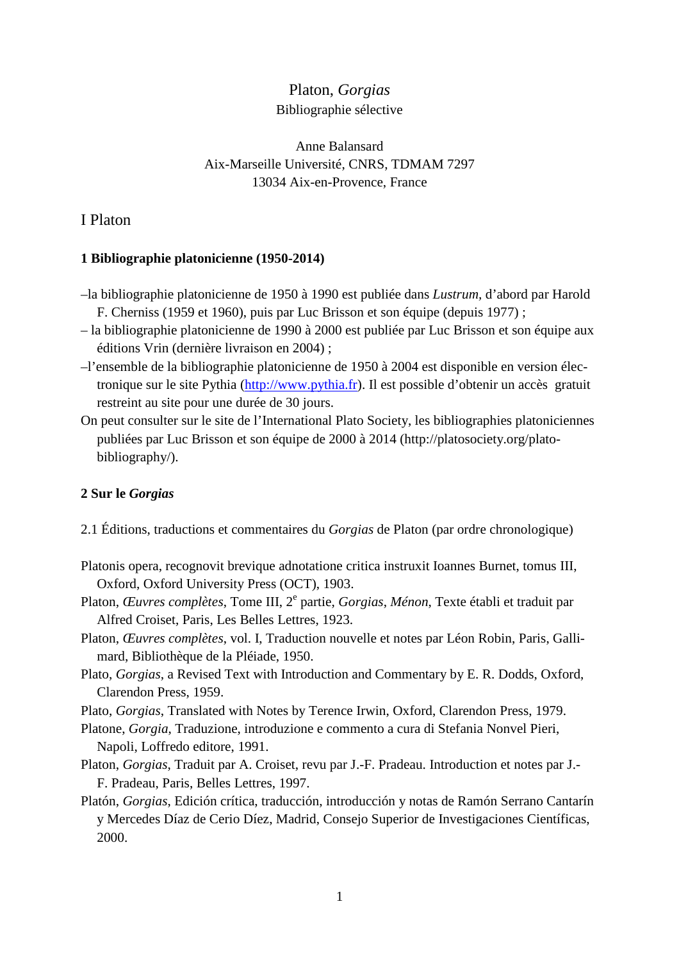# Platon, *Gorgias* Bibliographie sélective

# Anne Balansard Aix-Marseille Université, CNRS, TDMAM 7297 13034 Aix-en-Provence, France

# I Platon

### **1 Bibliographie platonicienne (1950-2014)**

- –la bibliographie platonicienne de 1950 à 1990 est publiée dans *Lustrum,* d'abord par Harold F. Cherniss (1959 et 1960), puis par Luc Brisson et son équipe (depuis 1977) ;
- la bibliographie platonicienne de 1990 à 2000 est publiée par Luc Brisson et son équipe aux éditions Vrin (dernière livraison en 2004) ;
- –l'ensemble de la bibliographie platonicienne de 1950 à 2004 est disponible en version électronique sur le site Pythia (http://www.pythia.fr). Il est possible d'obtenir un accès gratuit restreint au site pour une durée de 30 jours.
- On peut consulter sur le site de l'International Plato Society, les bibliographies platoniciennes publiées par Luc Brisson et son équipe de 2000 à 2014 (http://platosociety.org/platobibliography/).

# **2 Sur le** *Gorgias*

- 2.1 Éditions, traductions et commentaires du *Gorgias* de Platon (par ordre chronologique)
- Platonis opera, recognovit brevique adnotatione critica instruxit Ioannes Burnet, tomus III, Oxford, Oxford University Press (OCT), 1903.
- Platon, *Œuvres complètes*, Tome III, 2<sup>e</sup> partie, *Gorgias, Ménon*, Texte établi et traduit par Alfred Croiset, Paris, Les Belles Lettres, 1923.
- Platon, *Œuvres complètes*, vol. I, Traduction nouvelle et notes par Léon Robin, Paris, Gallimard, Bibliothèque de la Pléiade, 1950.
- Plato, *Gorgias*, a Revised Text with Introduction and Commentary by E. R. Dodds, Oxford, Clarendon Press, 1959.
- Plato, *Gorgias*, Translated with Notes by Terence Irwin, Oxford, Clarendon Press, 1979.
- Platone, *Gorgia*, Traduzione, introduzione e commento a cura di Stefania Nonvel Pieri, Napoli, Loffredo editore, 1991.
- Platon, *Gorgias*, Traduit par A. Croiset, revu par J.-F. Pradeau. Introduction et notes par J.- F. Pradeau, Paris, Belles Lettres, 1997.
- Platón, *Gorgias*, Edición crítica, traducción, introducción y notas de Ramón Serrano Cantarín y Mercedes Díaz de Cerio Díez, Madrid, Consejo Superior de Investigaciones Científicas, 2000.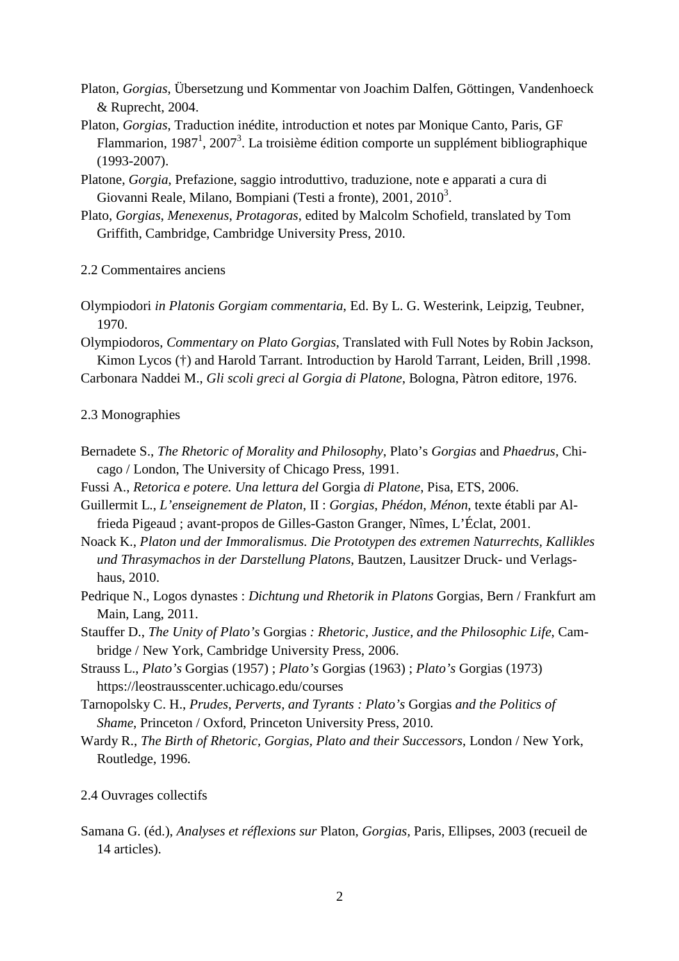- Platon, *Gorgias*, Übersetzung und Kommentar von Joachim Dalfen, Göttingen, Vandenhoeck & Ruprecht, 2004.
- Platon, *Gorgias*, Traduction inédite, introduction et notes par Monique Canto, Paris, GF Flammarion, 1987<sup>1</sup>, 2007<sup>3</sup>. La troisième édition comporte un supplément bibliographique (1993-2007).
- Platone, *Gorgia*, Prefazione, saggio introduttivo, traduzione, note e apparati a cura di Giovanni Reale, Milano, Bompiani (Testi a fronte), 2001, 2010<sup>3</sup>.
- Plato, *Gorgias*, *Menexenus*, *Protagoras*, edited by Malcolm Schofield, translated by Tom Griffith, Cambridge, Cambridge University Press, 2010.

2.2 Commentaires anciens

- Olympiodori *in Platonis Gorgiam commentaria*, Ed. By L. G. Westerink, Leipzig, Teubner, 1970.
- Olympiodoros, *Commentary on Plato Gorgias*, Translated with Full Notes by Robin Jackson, Kimon Lycos (†) and Harold Tarrant. Introduction by Harold Tarrant, Leiden, Brill ,1998.

Carbonara Naddei M., *Gli scoli greci al Gorgia di Platone*, Bologna, Pàtron editore, 1976.

#### 2.3 Monographies

- Bernadete S., *The Rhetoric of Morality and Philosophy*, Plato's *Gorgias* and *Phaedrus*, Chicago / London, The University of Chicago Press, 1991.
- Fussi A., *Retorica e potere. Una lettura del* Gorgia *di Platone*, Pisa, ETS, 2006.
- Guillermit L., *L'enseignement de Platon*, II : *Gorgias*, *Phédon*, *Ménon*, texte établi par Alfrieda Pigeaud ; avant-propos de Gilles-Gaston Granger, Nîmes, L'Éclat, 2001.
- Noack K., *Platon und der Immoralismus. Die Prototypen des extremen Naturrechts, Kallikles und Thrasymachos in der Darstellung Platons*, Bautzen, Lausitzer Druck- und Verlagshaus, 2010.
- Pedrique N., Logos dynastes : *Dichtung und Rhetorik in Platons* Gorgias, Bern / Frankfurt am Main, Lang, 2011.
- Stauffer D., *The Unity of Plato's* Gorgias *: Rhetoric, Justice, and the Philosophic Life*, Cambridge / New York, Cambridge University Press, 2006.
- Strauss L., *Plato's* Gorgias (1957) ; *Plato's* Gorgias (1963) ; *Plato's* Gorgias (1973) https://leostrausscenter.uchicago.edu/courses
- Tarnopolsky C. H., *Prudes*, *Perverts, and Tyrants : Plato's* Gorgias *and the Politics of Shame*, Princeton / Oxford, Princeton University Press, 2010.
- Wardy R., *The Birth of Rhetoric, Gorgias, Plato and their Successors*, London / New York, Routledge, 1996.
- 2.4 Ouvrages collectifs
- Samana G. (éd.), *Analyses et réflexions sur* Platon*, Gorgias,* Paris, Ellipses, 2003 (recueil de 14 articles).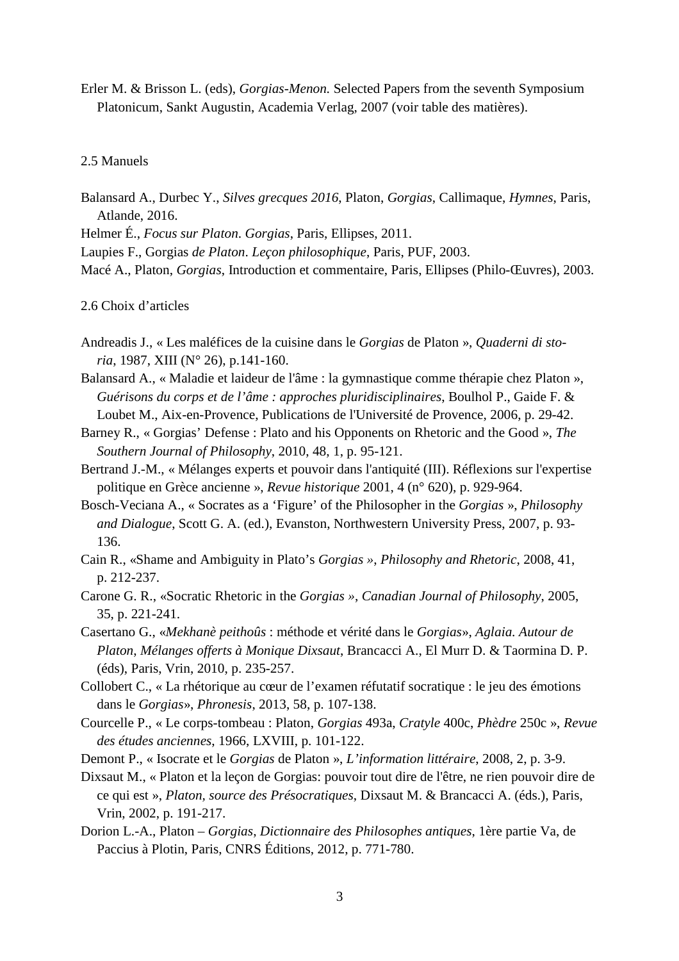Erler M. & Brisson L. (eds), *Gorgias-Menon.* Selected Papers from the seventh Symposium Platonicum, Sankt Augustin, Academia Verlag, 2007 (voir table des matières).

#### 2.5 Manuels

Balansard A., Durbec Y., *Silves grecques 2016*, Platon, *Gorgias*, Callimaque, *Hymnes*, Paris, Atlande, 2016.

Helmer É., *Focus sur Platon*. *Gorgias*, Paris, Ellipses, 2011.

Laupies F., Gorgias *de Platon*. *Leçon philosophique*, Paris, PUF, 2003.

Macé A., Platon, *Gorgias*, Introduction et commentaire, Paris, Ellipses (Philo-Œuvres), 2003.

#### 2.6 Choix d'articles

- Andreadis J., « Les maléfices de la cuisine dans le *Gorgias* de Platon », *Quaderni di storia*, 1987, XIII (N° 26), p.141-160.
- Balansard A., « Maladie et laideur de l'âme : la gymnastique comme thérapie chez Platon », *Guérisons du corps et de l'âme : approches pluridisciplinaires*, Boulhol P., Gaide F. & Loubet M., Aix-en-Provence, Publications de l'Université de Provence, 2006, p. 29-42.
- Barney R., « Gorgias' Defense : Plato and his Opponents on Rhetoric and the Good », *The Southern Journal of Philosophy*, 2010, 48, 1, p. 95-121.
- Bertrand J.-M., « Mélanges experts et pouvoir dans l'antiquité (III). Réflexions sur l'expertise politique en Grèce ancienne », *Revue historique* 2001, 4 (n° 620), p. 929-964.
- Bosch-Veciana A., « Socrates as a 'Figure' of the Philosopher in the *Gorgias* », *Philosophy and Dialogue*, Scott G. A. (ed.), Evanston, Northwestern University Press, 2007, p. 93- 136.
- Cain R., «Shame and Ambiguity in Plato's *Gorgias »*, *Philosophy and Rhetoric*, 2008, 41, p. 212-237.
- Carone G. R., «Socratic Rhetoric in the *Gorgias »*, *Canadian Journal of Philosophy*, 2005, 35, p. 221-241.
- Casertano G., «*Mekhanè peithoûs* : méthode et vérité dans le *Gorgias*», *Aglaia. Autour de Platon*, *Mélanges offerts à Monique Dixsaut*, Brancacci A., El Murr D. & Taormina D. P. (éds), Paris, Vrin, 2010, p. 235-257.
- Collobert C., « La rhétorique au cœur de l'examen réfutatif socratique : le jeu des émotions dans le *Gorgias*», *Phronesis*, 2013, 58, p. 107-138.
- Courcelle P., « Le corps-tombeau : Platon, *Gorgias* 493a, *Cratyle* 400c, *Phèdre* 250c », *Revue des études anciennes*, 1966, LXVIII, p. 101-122.
- Demont P., « Isocrate et le *Gorgias* de Platon », *L'information littéraire*, 2008, 2, p. 3-9.
- Dixsaut M., « Platon et la leçon de Gorgias: pouvoir tout dire de l'être, ne rien pouvoir dire de ce qui est », *Platon, source des Présocratiques*, Dixsaut M. & Brancacci A. (éds.), Paris, Vrin, 2002, p. 191-217.
- Dorion L.-A., Platon *Gorgias*, *Dictionnaire des Philosophes antiques*, 1ère partie Va, de Paccius à Plotin, Paris, CNRS Éditions, 2012, p. 771-780.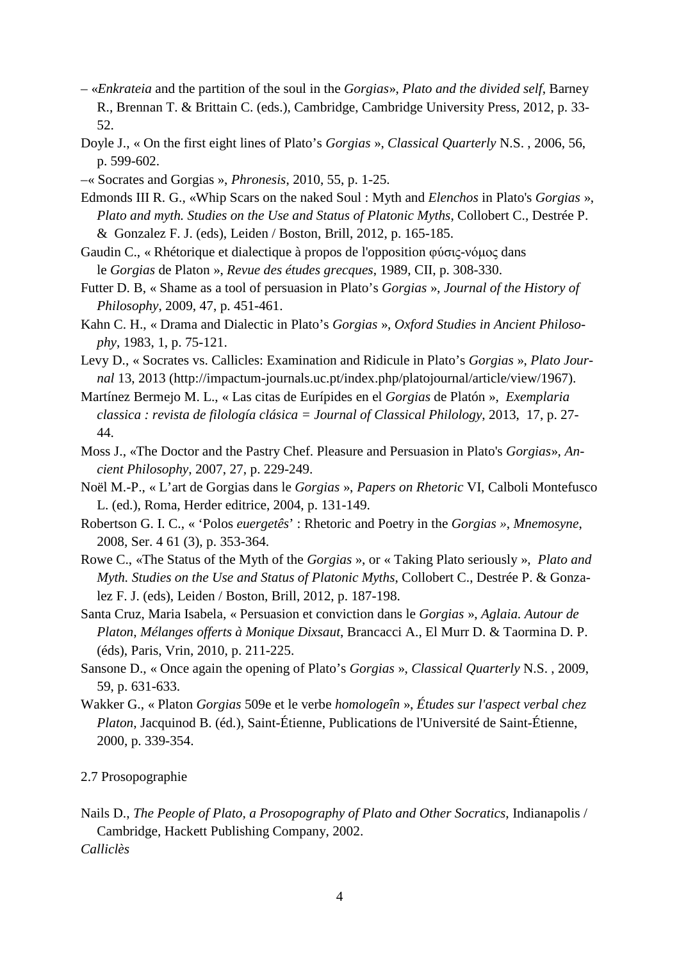- «*Enkrateia* and the partition of the soul in the *Gorgias*», *Plato and the divided self*, Barney R., Brennan T. & Brittain C. (eds.), Cambridge, Cambridge University Press, 2012, p. 33- 52.
- Doyle J., « On the first eight lines of Plato's *Gorgias* », *Classical Quarterly* N.S. , 2006, 56, p. 599-602.
- –« Socrates and Gorgias », *Phronesis*, 2010, 55, p. 1-25.
- Edmonds III R. G., «Whip Scars on the naked Soul : Myth and *Elenchos* in Plato's *Gorgias* », *Plato and myth. Studies on the Use and Status of Platonic Myths*, Collobert C., Destrée P. & Gonzalez F. J. (eds), Leiden / Boston, Brill, 2012, p. 165-185.
- Gaudin C., « Rhétorique et dialectique à propos de l'opposition φύσις-νόµος dans le *Gorgias* de Platon », *Revue des études grecques*, 1989, CII, p. 308-330.
- Futter D. B, « Shame as a tool of persuasion in Plato's *Gorgias* », *Journal of the History of Philosophy*, 2009, 47, p. 451-461.
- Kahn C. H., « Drama and Dialectic in Plato's *Gorgias* », *Oxford Studies in Ancient Philosophy*, 1983, 1, p. 75-121.
- Levy D., « Socrates vs. Callicles: Examination and Ridicule in Plato's *Gorgias* », *Plato Journal* 13, 2013 (http://impactum-journals.uc.pt/index.php/platojournal/article/view/1967).
- Martínez Bermejo M. L., « Las citas de Eurípides en el *Gorgias* de Platón », *Exemplaria classica : revista de filología clásica = Journal of Classical Philology*, 2013, 17, p. 27- 44.
- Moss J., «The Doctor and the Pastry Chef. Pleasure and Persuasion in Plato's *Gorgias*», *Ancient Philosophy*, 2007, 27, p. 229-249.
- Noël M.-P., « L'art de Gorgias dans le *Gorgias* », *Papers on Rhetoric* VI, Calboli Montefusco L. (ed.), Roma, Herder editrice, 2004, p. 131-149.
- Robertson G. I. C., « 'Polos *euergetês*' : Rhetoric and Poetry in the *Gorgias »*, *Mnemosyne*, 2008, Ser. 4 61 (3), p. 353-364.
- Rowe C., «The Status of the Myth of the *Gorgias* », or « Taking Plato seriously », *Plato and Myth. Studies on the Use and Status of Platonic Myths*, Collobert C., Destrée P. & Gonzalez F. J. (eds), Leiden / Boston, Brill, 2012, p. 187-198.
- Santa Cruz, Maria Isabela, « Persuasion et conviction dans le *Gorgias* », *Aglaia. Autour de Platon*, *Mélanges offerts à Monique Dixsaut*, Brancacci A., El Murr D. & Taormina D. P. (éds), Paris, Vrin, 2010, p. 211-225.
- Sansone D., « Once again the opening of Plato's *Gorgias* », *Classical Quarterly* N.S. , 2009, 59, p. 631-633.
- Wakker G., « Platon *Gorgias* 509e et le verbe *homologeîn* », *Études sur l'aspect verbal chez Platon*, Jacquinod B. (éd.), Saint-Étienne, Publications de l'Université de Saint-Étienne, 2000, p. 339-354.

2.7 Prosopographie

Nails D., *The People of Plato, a Prosopography of Plato and Other Socratics*, Indianapolis / Cambridge, Hackett Publishing Company, 2002. *Calliclès*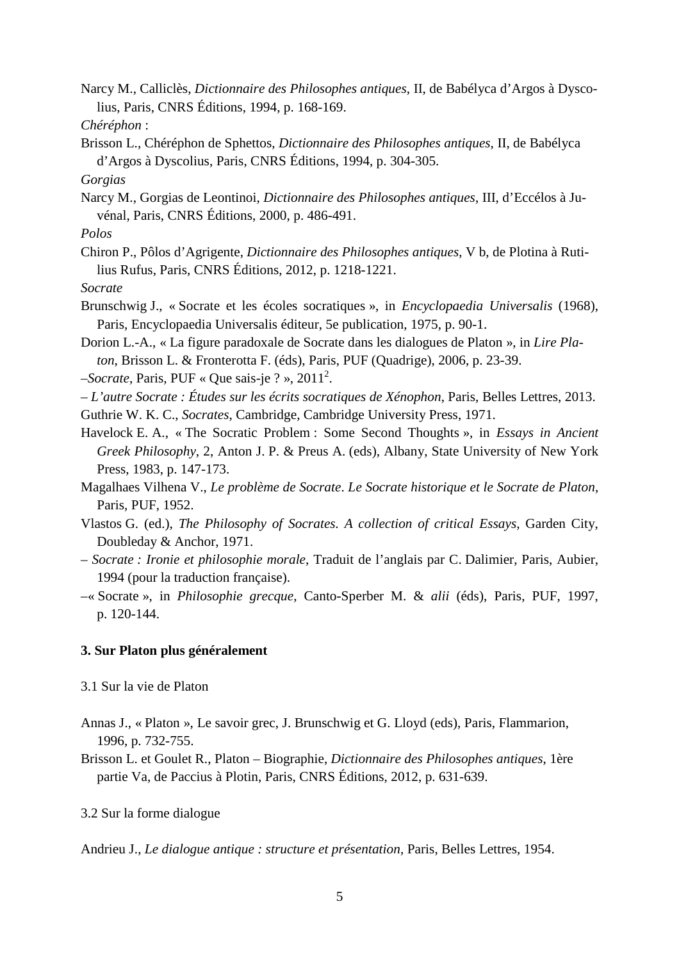Narcy M., Calliclès, *Dictionnaire des Philosophes antiques*, II, de Babélyca d'Argos à Dyscolius, Paris, CNRS Éditions, 1994, p. 168-169.

- Brisson L., Chéréphon de Sphettos, *Dictionnaire des Philosophes antiques*, II, de Babélyca d'Argos à Dyscolius, Paris, CNRS Éditions, 1994, p. 304-305.
- *Gorgias*
- Narcy M., Gorgias de Leontinoi, *Dictionnaire des Philosophes antiques*, III, d'Eccélos à Juvénal, Paris, CNRS Éditions, 2000, p. 486-491.
- *Polos*
- Chiron P., Pôlos d'Agrigente, *Dictionnaire des Philosophes antiques*, V b, de Plotina à Rutilius Rufus, Paris, CNRS Éditions, 2012, p. 1218-1221.

*Socrate*

- Brunschwig J., « Socrate et les écoles socratiques », in *Encyclopaedia Universalis* (1968), Paris, Encyclopaedia Universalis éditeur, 5e publication, 1975, p. 90-1.
- Dorion L.-A., « La figure paradoxale de Socrate dans les dialogues de Platon », in *Lire Platon*, Brisson L. & Fronterotta F. (éds), Paris, PUF (Quadrige), 2006, p. 23-39.
- –*Socrate*, Paris, PUF « Que sais-je ? », 2011<sup>2</sup> .
- *L'autre Socrate : Études sur les écrits socratiques de Xénophon*, Paris, Belles Lettres, 2013.
- Guthrie W. K. C., *Socrates*, Cambridge, Cambridge University Press, 1971.
- Havelock E. A., « The Socratic Problem : Some Second Thoughts », in *Essays in Ancient Greek Philosophy*, 2, Anton J. P. & Preus A. (eds), Albany, State University of New York Press, 1983, p. 147-173.
- Magalhaes Vilhena V., *Le problème de Socrate*. *Le Socrate historique et le Socrate de Platon*, Paris, PUF, 1952.
- Vlastos G. (ed.), *The Philosophy of Socrates. A collection of critical Essays*, Garden City, Doubleday & Anchor, 1971.
- – *Socrate : Ironie et philosophie morale*, Traduit de l'anglais par C. Dalimier, Paris, Aubier, 1994 (pour la traduction française).
- –« Socrate », in *Philosophie grecque*, Canto-Sperber M. & *alii* (éds), Paris, PUF, 1997, p. 120-144.

### **3. Sur Platon plus généralement**

- 3.1 Sur la vie de Platon
- Annas J., « Platon », Le savoir grec, J. Brunschwig et G. Lloyd (eds), Paris, Flammarion, 1996, p. 732-755.
- Brisson L. et Goulet R., Platon Biographie, *Dictionnaire des Philosophes antiques*, 1ère partie Va, de Paccius à Plotin, Paris, CNRS Éditions, 2012, p. 631-639.

### 3.2 Sur la forme dialogue

Andrieu J., *Le dialogue antique : structure et présentation*, Paris, Belles Lettres, 1954.

*Chéréphon* :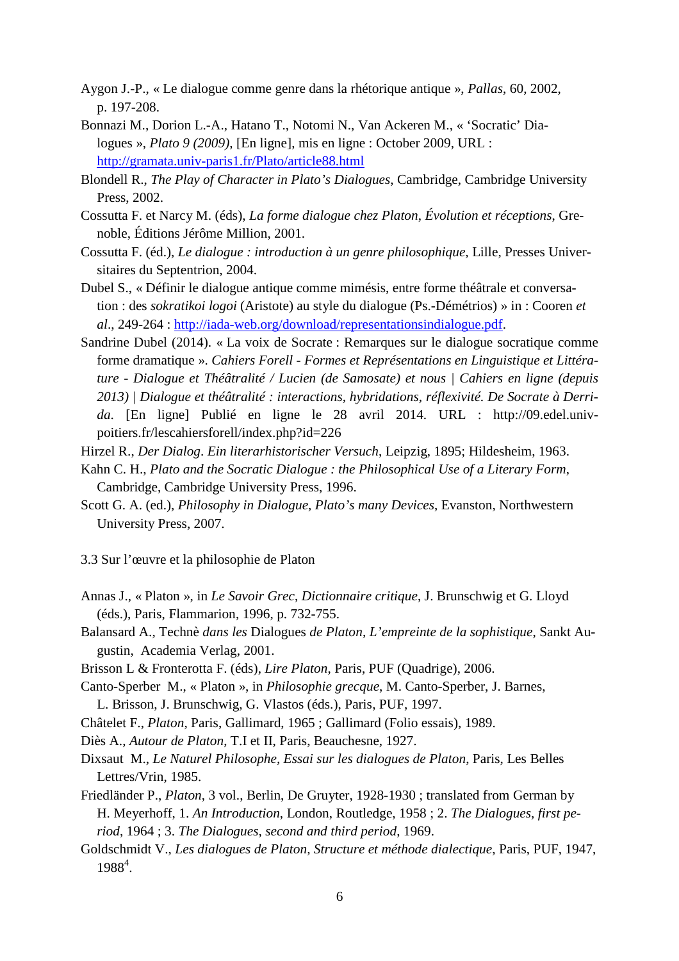- Aygon J.-P., « Le dialogue comme genre dans la rhétorique antique », *Pallas*, 60, 2002, p. 197-208.
- Bonnazi M., Dorion L.-A., Hatano T., Notomi N., Van Ackeren M., « 'Socratic' Dialogues », *Plato 9 (2009)*, [En ligne], mis en ligne : October 2009, URL : http://gramata.univ-paris1.fr/Plato/article88.html
- Blondell R., *The Play of Character in Plato's Dialogues*, Cambridge, Cambridge University Press, 2002.
- Cossutta F. et Narcy M. (éds), *La forme dialogue chez Platon*, *Évolution et réceptions*, Grenoble, Éditions Jérôme Million, 2001.
- Cossutta F. (éd.), *Le dialogue : introduction à un genre philosophique*, Lille, Presses Universitaires du Septentrion, 2004.
- Dubel S., « Définir le dialogue antique comme mimésis, entre forme théâtrale et conversation : des *sokratikoi logoi* (Aristote) au style du dialogue (Ps.-Démétrios) » in : Cooren *et al*., 249-264 : http://iada-web.org/download/representationsindialogue.pdf.
- Sandrine Dubel (2014). « La voix de Socrate : Remarques sur le dialogue socratique comme forme dramatique ». *Cahiers Forell - Formes et Représentations en Linguistique et Littérature - Dialogue et Théâtralité / Lucien (de Samosate) et nous | Cahiers en ligne (depuis 2013) | Dialogue et théâtralité : interactions, hybridations, réflexivité. De Socrate à Derrida*. [En ligne] Publié en ligne le 28 avril 2014. URL : http://09.edel.univpoitiers.fr/lescahiersforell/index.php?id=226
- Hirzel R., *Der Dialog*. *Ein literarhistorischer Versuch*, Leipzig, 1895; Hildesheim, 1963.
- Kahn C. H., *Plato and the Socratic Dialogue : the Philosophical Use of a Literary Form*, Cambridge, Cambridge University Press, 1996.
- Scott G. A. (ed.), *Philosophy in Dialogue*, *Plato's many Devices*, Evanston, Northwestern University Press, 2007.

3.3 Sur l'œuvre et la philosophie de Platon

- Annas J., « Platon », in *Le Savoir Grec*, *Dictionnaire critique*, J. Brunschwig et G. Lloyd (éds.), Paris, Flammarion, 1996, p. 732-755.
- Balansard A., Technè *dans les* Dialogues *de Platon, L'empreinte de la sophistique*, Sankt Augustin, Academia Verlag, 2001.
- Brisson L & Fronterotta F. (éds), *Lire Platon*, Paris, PUF (Quadrige), 2006.
- Canto-Sperber M., « Platon », in *Philosophie grecque*, M. Canto-Sperber, J. Barnes, L. Brisson, J. Brunschwig, G. Vlastos (éds.), Paris, PUF, 1997.
- Châtelet F., *Platon*, Paris, Gallimard, 1965 ; Gallimard (Folio essais), 1989.
- Diès A., *Autour de Platon*, T.I et II, Paris, Beauchesne, 1927.
- Dixsaut M., *Le Naturel Philosophe, Essai sur les dialogues de Platon*, Paris, Les Belles Lettres/Vrin, 1985.
- Friedländer P., *Platon*, 3 vol., Berlin, De Gruyter, 1928-1930 ; translated from German by H. Meyerhoff, 1. *An Introduction*, London, Routledge, 1958 ; 2. *The Dialogues, first period*, 1964 ; 3. *The Dialogues, second and third period*, 1969.
- Goldschmidt V., *Les dialogues de Platon, Structure et méthode dialectique*, Paris, PUF, 1947, 1988<sup>4</sup>.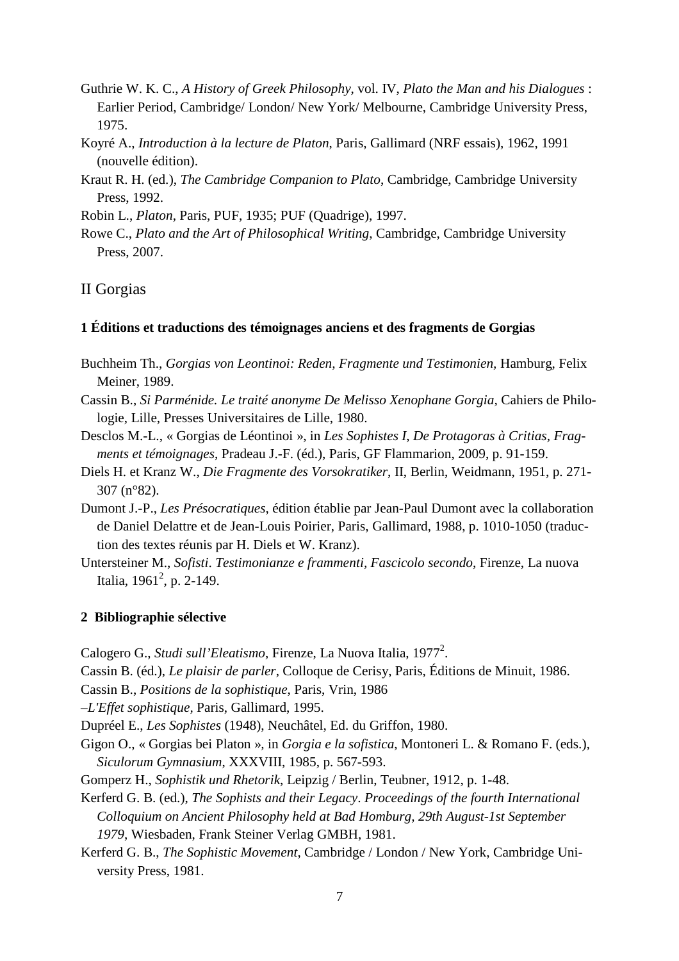- Guthrie W. K. C., *A History of Greek Philosophy*, vol. IV, *Plato the Man and his Dialogues* : Earlier Period, Cambridge/ London/ New York/ Melbourne, Cambridge University Press, 1975.
- Koyré A., *Introduction à la lecture de Platon*, Paris, Gallimard (NRF essais), 1962, 1991 (nouvelle édition).
- Kraut R. H. (ed.), *The Cambridge Companion to Plato*, Cambridge, Cambridge University Press, 1992.

Robin L., *Platon*, Paris, PUF, 1935; PUF (Quadrige), 1997.

Rowe C., *Plato and the Art of Philosophical Writing*, Cambridge, Cambridge University Press, 2007.

### II Gorgias

#### **1 Éditions et traductions des témoignages anciens et des fragments de Gorgias**

- Buchheim Th., *Gorgias von Leontinoi: Reden, Fragmente und Testimonien*, Hamburg, Felix Meiner, 1989.
- Cassin B., *Si Parménide. Le traité anonyme De Melisso Xenophane Gorgia,* Cahiers de Philologie, Lille, Presses Universitaires de Lille, 1980.
- Desclos M.-L., « Gorgias de Léontinoi », in *Les Sophistes I*, *De Protagoras à Critias, Fragments et témoignages*, Pradeau J.-F. (éd.), Paris, GF Flammarion, 2009, p. 91-159.
- Diels H. et Kranz W., *Die Fragmente des Vorsokratiker*, II, Berlin, Weidmann, 1951, p. 271- 307 (n°82).
- Dumont J.-P., *Les Présocratiques*, édition établie par Jean-Paul Dumont avec la collaboration de Daniel Delattre et de Jean-Louis Poirier, Paris, Gallimard, 1988, p. 1010-1050 (traduction des textes réunis par H. Diels et W. Kranz).
- Untersteiner M., *Sofisti*. *Testimonianze e frammenti, Fascicolo secondo*, Firenze, La nuova Italia, 1961<sup>2</sup>, p. 2-149.

#### **2 Bibliographie sélective**

Calogero G., *Studi sull'Eleatismo*, Firenze, La Nuova Italia, 1977<sup>2</sup>.

Cassin B. (éd.), *Le plaisir de parler*, Colloque de Cerisy, Paris, Éditions de Minuit, 1986.

Cassin B., *Positions de la sophistique*, Paris, Vrin, 1986

–*L'Effet sophistique,* Paris, Gallimard, 1995.

Dupréel E., *Les Sophistes* (1948), Neuchâtel, Ed. du Griffon, 1980.

- Gigon O., « Gorgias bei Platon »*,* in *Gorgia e la sofistica*, Montoneri L. & Romano F. (eds.)*, Siculorum Gymnasium*, XXXVIII, 1985, p. 567-593.
- Gomperz H., *Sophistik und Rhetorik*, Leipzig / Berlin, Teubner, 1912, p. 1-48.

Kerferd G. B. (ed.), *The Sophists and their Legacy*. *Proceedings of the fourth International Colloquium on Ancient Philosophy held at Bad Homburg, 29th August-1st September 1979*, Wiesbaden, Frank Steiner Verlag GMBH, 1981.

Kerferd G. B., *The Sophistic Movement*, Cambridge / London / New York, Cambridge University Press, 1981.